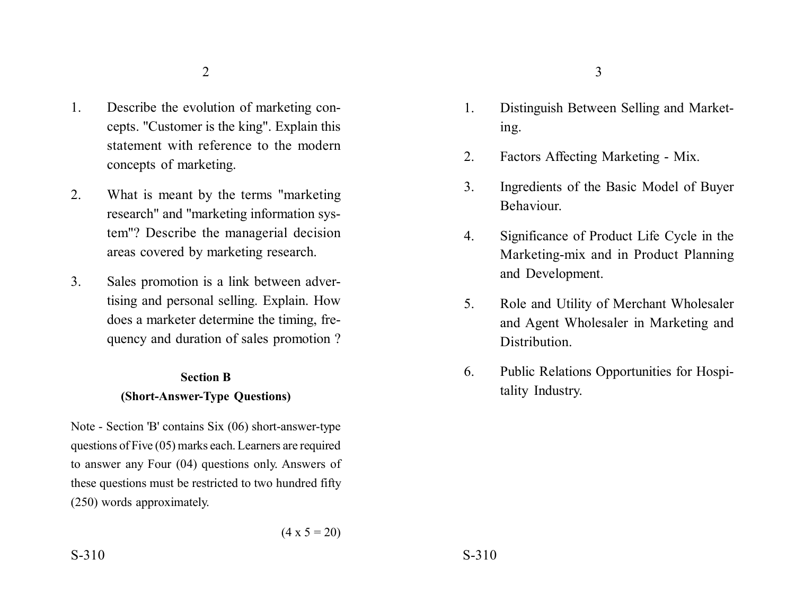- 1. Describe the evolution of marketing concepts. "Customer is the king". Explain this statement with reference to the modern concepts of marketing.
- 2. What is meant by the terms "marketing research" and "marketing information system"? Describe the managerial decision areas covered by marketing research.
- 3. Sales promotion is a link between advertising and personal selling. Explain. How does a marketer determine the timing, frequency and duration of sales promotion ?

# **Section B**

### **(Short-Answer-Type Questions)**

Note - Section 'B' contains Six (06) short-answer-type questions of Five (05) marks each. Learners are required to answer any Four (04) questions only. Answers of these questions must be restricted to two hundred fifty (250) words approximately.

- 1. Distinguish Between Selling and Marketing.
- 2. Factors Affecting Marketing Mix.
- 3. Ingredients of the Basic Model of Buyer Behaviour.
- 4. Significance of Product Life Cycle in the Marketing-mix and in Product Planning and Development.
- 5. Role and Utility of Merchant Wholesaler and Agent Wholesaler in Marketing and Distribution.
- 6. Public Relations Opportunities for Hospitality Industry.